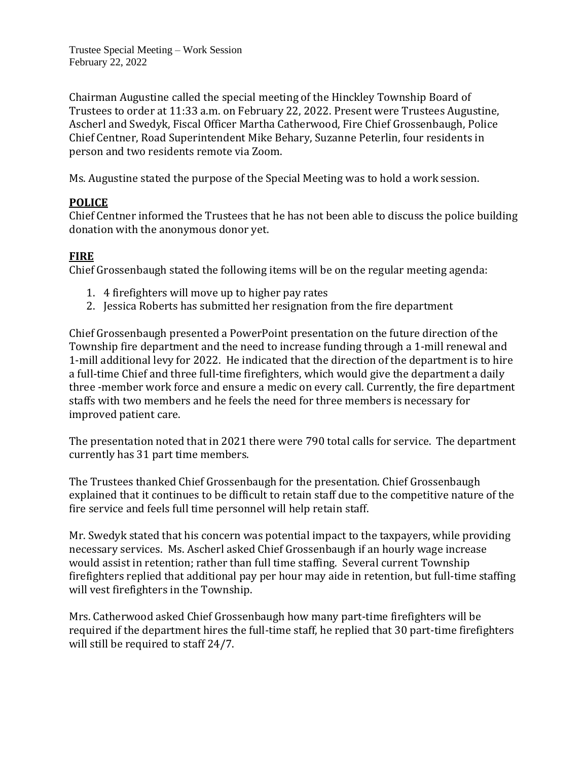Trustee Special Meeting – Work Session February 22, 2022

Chairman Augustine called the special meeting of the Hinckley Township Board of Trustees to order at 11:33 a.m. on February 22, 2022. Present were Trustees Augustine, Ascherl and Swedyk, Fiscal Officer Martha Catherwood, Fire Chief Grossenbaugh, Police Chief Centner, Road Superintendent Mike Behary, Suzanne Peterlin, four residents in person and two residents remote via Zoom.

Ms. Augustine stated the purpose of the Special Meeting was to hold a work session.

# **POLICE**

Chief Centner informed the Trustees that he has not been able to discuss the police building donation with the anonymous donor yet.

# **FIRE**

Chief Grossenbaugh stated the following items will be on the regular meeting agenda:

- 1. 4 firefighters will move up to higher pay rates
- 2. Jessica Roberts has submitted her resignation from the fire department

Chief Grossenbaugh presented a PowerPoint presentation on the future direction of the Township fire department and the need to increase funding through a 1-mill renewal and 1-mill additional levy for 2022. He indicated that the direction of the department is to hire a full-time Chief and three full-time firefighters, which would give the department a daily three -member work force and ensure a medic on every call. Currently, the fire department staffs with two members and he feels the need for three members is necessary for improved patient care.

The presentation noted that in 2021 there were 790 total calls for service. The department currently has 31 part time members.

The Trustees thanked Chief Grossenbaugh for the presentation. Chief Grossenbaugh explained that it continues to be difficult to retain staff due to the competitive nature of the fire service and feels full time personnel will help retain staff.

Mr. Swedyk stated that his concern was potential impact to the taxpayers, while providing necessary services. Ms. Ascherl asked Chief Grossenbaugh if an hourly wage increase would assist in retention; rather than full time staffing. Several current Township firefighters replied that additional pay per hour may aide in retention, but full-time staffing will vest firefighters in the Township.

Mrs. Catherwood asked Chief Grossenbaugh how many part-time firefighters will be required if the department hires the full-time staff, he replied that 30 part-time firefighters will still be required to staff 24/7.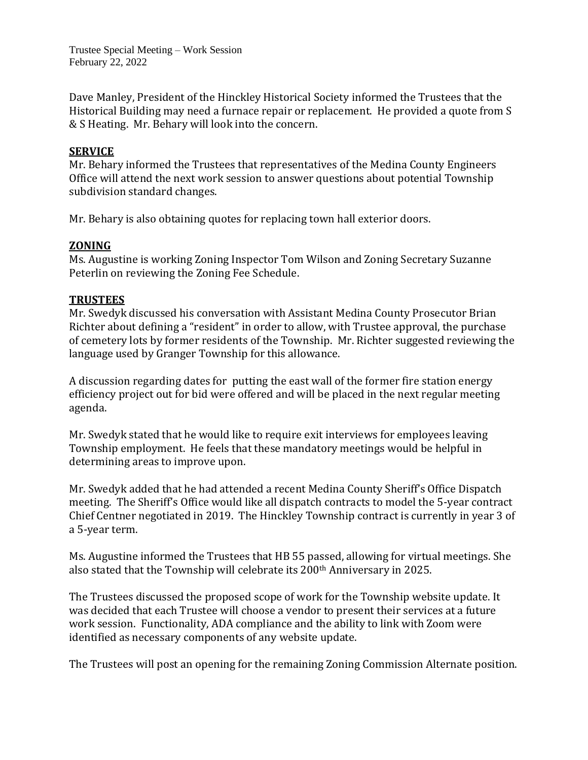Trustee Special Meeting – Work Session February 22, 2022

Dave Manley, President of the Hinckley Historical Society informed the Trustees that the Historical Building may need a furnace repair or replacement. He provided a quote from S & S Heating. Mr. Behary will look into the concern.

### **SERVICE**

Mr. Behary informed the Trustees that representatives of the Medina County Engineers Office will attend the next work session to answer questions about potential Township subdivision standard changes.

Mr. Behary is also obtaining quotes for replacing town hall exterior doors.

# **ZONING**

Ms. Augustine is working Zoning Inspector Tom Wilson and Zoning Secretary Suzanne Peterlin on reviewing the Zoning Fee Schedule.

# **TRUSTEES**

Mr. Swedyk discussed his conversation with Assistant Medina County Prosecutor Brian Richter about defining a "resident" in order to allow, with Trustee approval, the purchase of cemetery lots by former residents of the Township. Mr. Richter suggested reviewing the language used by Granger Township for this allowance.

A discussion regarding dates for putting the east wall of the former fire station energy efficiency project out for bid were offered and will be placed in the next regular meeting agenda.

Mr. Swedyk stated that he would like to require exit interviews for employees leaving Township employment. He feels that these mandatory meetings would be helpful in determining areas to improve upon.

Mr. Swedyk added that he had attended a recent Medina County Sheriff's Office Dispatch meeting. The Sheriff's Office would like all dispatch contracts to model the 5-year contract Chief Centner negotiated in 2019. The Hinckley Township contract is currently in year 3 of a 5-year term.

Ms. Augustine informed the Trustees that HB 55 passed, allowing for virtual meetings. She also stated that the Township will celebrate its 200th Anniversary in 2025.

The Trustees discussed the proposed scope of work for the Township website update. It was decided that each Trustee will choose a vendor to present their services at a future work session. Functionality, ADA compliance and the ability to link with Zoom were identified as necessary components of any website update.

The Trustees will post an opening for the remaining Zoning Commission Alternate position.